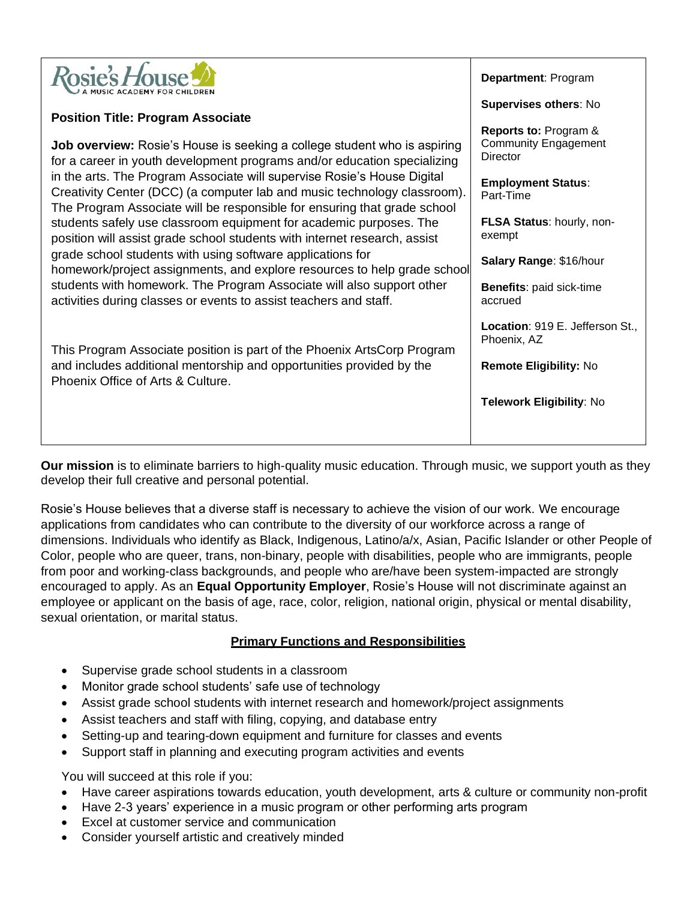

### **Position Title: Program Associate**

**Job overview:** Rosie's House is seeking a college student who is aspiring for a career in youth development programs and/or education specializing in the arts. The Program Associate will supervise Rosie's House Digital Creativity Center (DCC) (a computer lab and music technology classroom). The Program Associate will be responsible for ensuring that grade school students safely use classroom equipment for academic purposes. The position will assist grade school students with internet research, assist grade school students with using software applications for homework/project assignments, and explore resources to help grade school students with homework. The Program Associate will also support other activities during classes or events to assist teachers and staff.

This Program Associate position is part of the Phoenix ArtsCorp Program and includes additional mentorship and opportunities provided by the Phoenix Office of Arts & Culture.

**Department**: Program

**Supervises others**: No

**Reports to:** Program & Community Engagement **Director** 

**Employment Status**: Part-Time

**FLSA Status**: hourly, nonexempt

**Salary Range**: \$16/hour

**Benefits**: paid sick-time accrued

**Location**: 919 E. Jefferson St., Phoenix, AZ

**Remote Eligibility:** No

**Telework Eligibility**: No

**Our mission** is to eliminate barriers to high-quality music education. Through music, we support youth as they develop their full creative and personal potential.

Rosie's House believes that a diverse staff is necessary to achieve the vision of our work. We encourage applications from candidates who can contribute to the diversity of our workforce across a range of dimensions. Individuals who identify as Black, Indigenous, Latino/a/x, Asian, Pacific Islander or other People of Color, people who are queer, trans, non-binary, people with disabilities, people who are immigrants, people from poor and working-class backgrounds, and people who are/have been system-impacted are strongly encouraged to apply. As an **Equal Opportunity Employer**, Rosie's House will not discriminate against an employee or applicant on the basis of age, race, color, religion, national origin, physical or mental disability, sexual orientation, or marital status.

#### **Primary Functions and Responsibilities**

- Supervise grade school students in a classroom
- Monitor grade school students' safe use of technology
- Assist grade school students with internet research and homework/project assignments
- Assist teachers and staff with filing, copying, and database entry
- Setting-up and tearing-down equipment and furniture for classes and events
- Support staff in planning and executing program activities and events

You will succeed at this role if you:

- Have career aspirations towards education, youth development, arts & culture or community non-profit
- Have 2-3 years' experience in a music program or other performing arts program
- Excel at customer service and communication
- Consider yourself artistic and creatively minded